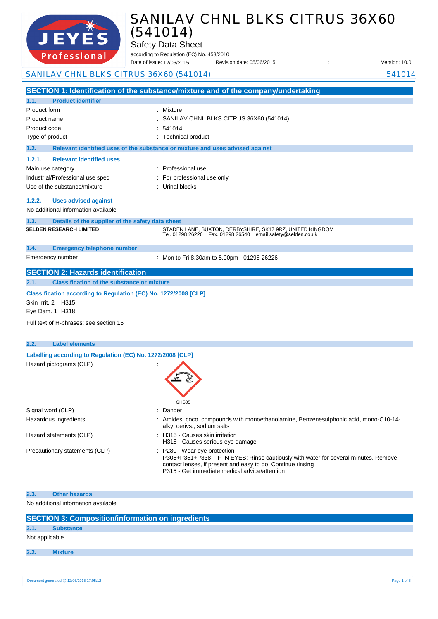

Safety Data Sheet

according to Regulation (EC) No. 453/2010 Revision date: 05/06/2015 : Case of its version: 10.0 Date of issue: 12/06/2015

### SANILAV CHNL BLKS CITRUS 36X60 (541014) 541014

**SECTION 1: Identification of the substance/mixture and of the company/undertaking**

| 1.1.               | <b>Product identifier</b>                                                          |                                                                                                                                                                                                                                      |  |  |
|--------------------|------------------------------------------------------------------------------------|--------------------------------------------------------------------------------------------------------------------------------------------------------------------------------------------------------------------------------------|--|--|
| Product form       |                                                                                    | Mixture                                                                                                                                                                                                                              |  |  |
| Product name       |                                                                                    | SANILAV CHNL BLKS CITRUS 36X60 (541014)                                                                                                                                                                                              |  |  |
| Product code       |                                                                                    | 541014                                                                                                                                                                                                                               |  |  |
| Type of product    |                                                                                    | : Technical product                                                                                                                                                                                                                  |  |  |
| 1.2.               |                                                                                    | Relevant identified uses of the substance or mixture and uses advised against                                                                                                                                                        |  |  |
| 1.2.1.             | <b>Relevant identified uses</b>                                                    |                                                                                                                                                                                                                                      |  |  |
| Main use category  |                                                                                    | : Professional use                                                                                                                                                                                                                   |  |  |
|                    | Industrial/Professional use spec                                                   | For professional use only                                                                                                                                                                                                            |  |  |
|                    | Use of the substance/mixture                                                       | Urinal blocks                                                                                                                                                                                                                        |  |  |
| 1.2.2.             | <b>Uses advised against</b>                                                        |                                                                                                                                                                                                                                      |  |  |
|                    | No additional information available                                                |                                                                                                                                                                                                                                      |  |  |
| 1.3.               | Details of the supplier of the safety data sheet                                   |                                                                                                                                                                                                                                      |  |  |
|                    | <b>SELDEN RESEARCH LIMITED</b>                                                     | STADEN LANE, BUXTON, DERBYSHIRE, SK17 9RZ, UNITED KINGDOM<br>Tel. 01298 26226    Fax. 01298 26540    email safety@selden.co.uk                                                                                                       |  |  |
| 1.4.               | <b>Emergency telephone number</b>                                                  |                                                                                                                                                                                                                                      |  |  |
|                    | Emergency number                                                                   | : Mon to Fri 8.30am to 5.00pm - 01298 26226                                                                                                                                                                                          |  |  |
|                    | <b>SECTION 2: Hazards identification</b>                                           |                                                                                                                                                                                                                                      |  |  |
| 2.1.               | <b>Classification of the substance or mixture</b>                                  |                                                                                                                                                                                                                                      |  |  |
| Skin Irrit. 2 H315 | Classification according to Regulation (EC) No. 1272/2008 [CLP]<br>Eye Dam. 1 H318 |                                                                                                                                                                                                                                      |  |  |
|                    | Full text of H-phrases: see section 16                                             |                                                                                                                                                                                                                                      |  |  |
| 2.2.               | <b>Label elements</b>                                                              |                                                                                                                                                                                                                                      |  |  |
|                    | Labelling according to Regulation (EC) No. 1272/2008 [CLP]                         |                                                                                                                                                                                                                                      |  |  |
|                    | Hazard pictograms (CLP)                                                            | GHS05                                                                                                                                                                                                                                |  |  |
| Signal word (CLP)  |                                                                                    | Danger                                                                                                                                                                                                                               |  |  |
|                    | Hazardous ingredients                                                              | : Amides, coco, compounds with monoethanolamine, Benzenesulphonic acid, mono-C10-14-<br>alkyl derivs., sodium salts                                                                                                                  |  |  |
|                    | Hazard statements (CLP)                                                            | : H315 - Causes skin irritation<br>H318 - Causes serious eye damage                                                                                                                                                                  |  |  |
|                    | Precautionary statements (CLP)                                                     | : P280 - Wear eye protection<br>P305+P351+P338 - IF IN EYES: Rinse cautiously with water for several minutes. Remove<br>contact lenses, if present and easy to do. Continue rinsing<br>P315 - Get immediate medical advice/attention |  |  |
| 2.3.               | <b>Other hazards</b>                                                               |                                                                                                                                                                                                                                      |  |  |
|                    |                                                                                    |                                                                                                                                                                                                                                      |  |  |

No additional information available

|                | <b>SECTION 3: Composition/information on ingredients</b> |             |
|----------------|----------------------------------------------------------|-------------|
| 3.1.           | <b>Substance</b>                                         |             |
| Not applicable |                                                          |             |
| 3.2.           | <b>Mixture</b>                                           |             |
|                |                                                          |             |
|                | Document generated @ 12/06/2015 17:05:12                 | Page 1 of 6 |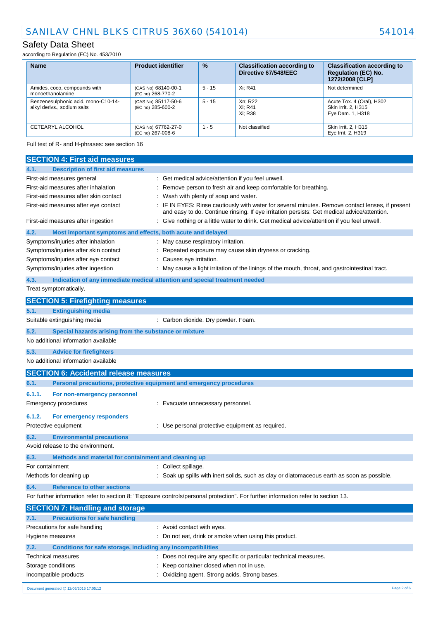### Safety Data Sheet

according to Regulation (EC) No. 453/2010

| <b>Name</b>                                                        | <b>Product identifier</b>                | $\frac{9}{6}$ | <b>Classification according to</b><br>Directive 67/548/EEC | <b>Classification according to</b><br><b>Regulation (EC) No.</b><br>1272/2008 [CLP] |
|--------------------------------------------------------------------|------------------------------------------|---------------|------------------------------------------------------------|-------------------------------------------------------------------------------------|
| Amides, coco, compounds with<br>monoethanolamine                   | (CAS No) 68140-00-1<br>(EC no) 268-770-2 | $5 - 15$      | Xi: R41                                                    | Not determined                                                                      |
| Benzenesulphonic acid, mono-C10-14-<br>alkyl derivs., sodium salts | (CAS No) 85117-50-6<br>(EC no) 285-600-2 | $5 - 15$      | Xn: R22<br>Xi: R41<br>Xi: R38                              | Acute Tox. 4 (Oral), H302<br>Skin Irrit. 2. H315<br>Eye Dam. 1, H318                |
| CETEARYL ALCOHOL                                                   | (CAS No) 67762-27-0<br>(EC no) 267-008-6 | $1 - 5$       | Not classified                                             | Skin Irrit. 2, H315<br>Eye Irrit. 2, H319                                           |

Full text of R- and H-phrases: see section 16

| <b>SECTION 4: First aid measures</b>                                        |                                                                                                                                                                                               |
|-----------------------------------------------------------------------------|-----------------------------------------------------------------------------------------------------------------------------------------------------------------------------------------------|
| <b>Description of first aid measures</b><br>4.1.                            |                                                                                                                                                                                               |
| First-aid measures general                                                  | : Get medical advice/attention if you feel unwell.                                                                                                                                            |
| First-aid measures after inhalation                                         | Remove person to fresh air and keep comfortable for breathing.                                                                                                                                |
| First-aid measures after skin contact                                       | Wash with plenty of soap and water.                                                                                                                                                           |
| First-aid measures after eye contact                                        | IF IN EYES: Rinse cautiously with water for several minutes. Remove contact lenses, if present<br>and easy to do. Continue rinsing. If eye irritation persists: Get medical advice/attention. |
| First-aid measures after ingestion                                          | : Give nothing or a little water to drink. Get medical advice/attention if you feel unwell.                                                                                                   |
| 4.2.<br>Most important symptoms and effects, both acute and delayed         |                                                                                                                                                                                               |
| Symptoms/injuries after inhalation                                          | : May cause respiratory irritation.                                                                                                                                                           |
| Symptoms/injuries after skin contact                                        | Repeated exposure may cause skin dryness or cracking.                                                                                                                                         |
| Symptoms/injuries after eye contact                                         | : Causes eye irritation.                                                                                                                                                                      |
| Symptoms/injuries after ingestion                                           | : May cause a light irritation of the linings of the mouth, throat, and gastrointestinal tract.                                                                                               |
| 4.3.                                                                        | Indication of any immediate medical attention and special treatment needed                                                                                                                    |
| Treat symptomatically.                                                      |                                                                                                                                                                                               |
| <b>SECTION 5: Firefighting measures</b>                                     |                                                                                                                                                                                               |
| <b>Extinguishing media</b><br>5.1.                                          |                                                                                                                                                                                               |
| Suitable extinguishing media                                                | : Carbon dioxide. Dry powder. Foam.                                                                                                                                                           |
| 5.2.<br>Special hazards arising from the substance or mixture               |                                                                                                                                                                                               |
| No additional information available                                         |                                                                                                                                                                                               |
| <b>Advice for firefighters</b><br>5.3.                                      |                                                                                                                                                                                               |
| No additional information available                                         |                                                                                                                                                                                               |
| <b>SECTION 6: Accidental release measures</b>                               |                                                                                                                                                                                               |
| Personal precautions, protective equipment and emergency procedures<br>6.1. |                                                                                                                                                                                               |
| 6.1.1.<br>For non-emergency personnel                                       |                                                                                                                                                                                               |
| <b>Emergency procedures</b>                                                 | : Evacuate unnecessary personnel.                                                                                                                                                             |
|                                                                             |                                                                                                                                                                                               |
| 6.1.2.<br>For emergency responders                                          |                                                                                                                                                                                               |
| Protective equipment                                                        | : Use personal protective equipment as required.                                                                                                                                              |
| 6.2.<br><b>Environmental precautions</b>                                    |                                                                                                                                                                                               |
| Avoid release to the environment.                                           |                                                                                                                                                                                               |
| 6.3.<br>Methods and material for containment and cleaning up                |                                                                                                                                                                                               |
| For containment                                                             | : Collect spillage.                                                                                                                                                                           |
| Methods for cleaning up                                                     | : Soak up spills with inert solids, such as clay or diatomaceous earth as soon as possible.                                                                                                   |
| 6.4.<br><b>Reference to other sections</b>                                  |                                                                                                                                                                                               |
|                                                                             | For further information refer to section 8: "Exposure controls/personal protection". For further information refer to section 13.                                                             |
| <b>SECTION 7: Handling and storage</b>                                      |                                                                                                                                                                                               |
| 7.1.<br><b>Precautions for safe handling</b>                                |                                                                                                                                                                                               |
| Precautions for safe handling                                               | : Avoid contact with eyes.                                                                                                                                                                    |
| Hygiene measures                                                            | Do not eat, drink or smoke when using this product.                                                                                                                                           |
| 7.2.<br><b>Conditions for safe storage, including any incompatibilities</b> |                                                                                                                                                                                               |
| Technical measures                                                          | Does not require any specific or particular technical measures.                                                                                                                               |
| Storage conditions                                                          | Keep container closed when not in use.                                                                                                                                                        |
| Incompatible products                                                       | Oxidizing agent. Strong acids. Strong bases.                                                                                                                                                  |
|                                                                             |                                                                                                                                                                                               |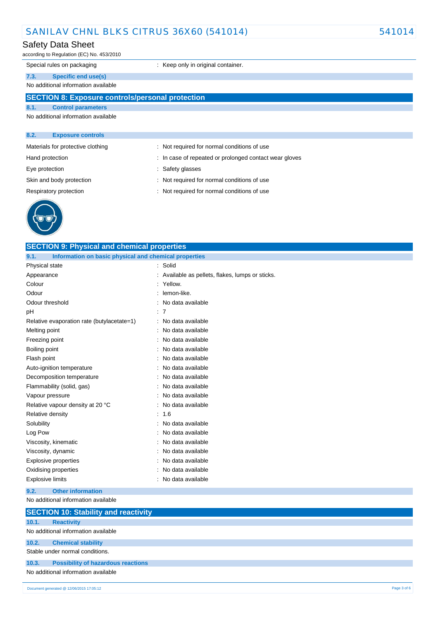### Safety Data Sheet

according to Regulation (EC) No. 453/2010

Special rules on packaging **in the case of the Container** : Keep only in original container.

### **7.3. Specific end use(s)**

#### No additional information available

### **SECTION 8: Exposure controls/personal protection**

**SECTION 9: Physical and chemical properties**

#### **8.1. Control parameters**

No additional information available

### **8.2. Exposure controls**

| Materials for protective clothing |  |  |
|-----------------------------------|--|--|
|-----------------------------------|--|--|

- 
- 
- : Not required for normal conditions of use
- Hand protection **in the state of repeated or prolonged contact wear gloves**
- Eye protection  $\qquad \qquad$ : Safety glasses
- Skin and body protection : Not required for normal conditions of use
- Respiratory protection : Not required for normal conditions of use



| 9.1.<br>Information on basic physical and chemical properties |                                                |  |  |
|---------------------------------------------------------------|------------------------------------------------|--|--|
| Physical state                                                | Solid                                          |  |  |
| Appearance                                                    | Available as pellets, flakes, lumps or sticks. |  |  |
| Colour                                                        | Yellow.                                        |  |  |
| Odour                                                         | lemon-like.                                    |  |  |
| Odour threshold                                               | No data available                              |  |  |
| рH                                                            | 7                                              |  |  |
| Relative evaporation rate (butylacetate=1)                    | No data available                              |  |  |
| Melting point                                                 | No data available                              |  |  |
| Freezing point                                                | No data available                              |  |  |
| Boiling point                                                 | No data available                              |  |  |
| Flash point                                                   | No data available                              |  |  |
| Auto-ignition temperature                                     | No data available                              |  |  |
| Decomposition temperature                                     | No data available                              |  |  |
| Flammability (solid, gas)                                     | No data available                              |  |  |
| Vapour pressure                                               | No data available                              |  |  |
| Relative vapour density at 20 °C                              | No data available                              |  |  |
| Relative density                                              | 1.6                                            |  |  |
| Solubility                                                    | No data available                              |  |  |
| Log Pow                                                       | No data available                              |  |  |
| Viscosity, kinematic                                          | No data available                              |  |  |
| Viscosity, dynamic                                            | No data available                              |  |  |
| Explosive properties                                          | No data available                              |  |  |
| Oxidising properties                                          | No data available                              |  |  |
| <b>Explosive limits</b>                                       | No data available                              |  |  |
| <b>Other information</b><br>9.2.                              |                                                |  |  |
| No additional information available                           |                                                |  |  |
| <b>SECTION 10: Stability and reactivity</b>                   |                                                |  |  |
| 10.1.<br><b>Reactivity</b>                                    |                                                |  |  |
| No additional information available                           |                                                |  |  |
| 10.2.<br><b>Chemical stability</b>                            |                                                |  |  |
| Stable under normal conditions.                               |                                                |  |  |
| 10.3.<br><b>Possibility of hazardous reactions</b>            |                                                |  |  |
| No additional information available                           |                                                |  |  |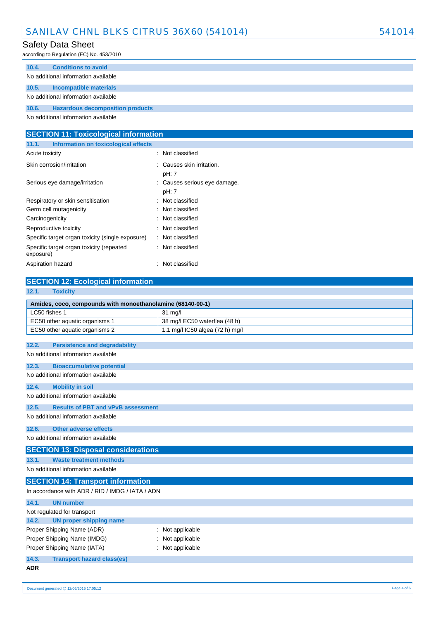### Safety Data Sheet

according to Regulation (EC) No. 453/2010

| 10.4.                               | <b>Conditions to avoid</b>              |  |
|-------------------------------------|-----------------------------------------|--|
|                                     | No additional information available     |  |
|                                     |                                         |  |
| 10.5.                               | Incompatible materials                  |  |
| No additional information available |                                         |  |
| 10.6.                               | <b>Hazardous decomposition products</b> |  |
|                                     |                                         |  |

No additional information available

| <b>SECTION 11: Toxicological information</b>          |                                       |  |  |
|-------------------------------------------------------|---------------------------------------|--|--|
| Information on toxicological effects<br>11.1.         |                                       |  |  |
| Acute toxicity                                        | : Not classified                      |  |  |
| Skin corrosion/irritation                             | : Causes skin irritation.<br>pH: 7    |  |  |
| Serious eye damage/irritation                         | : Causes serious eye damage.<br>pH: 7 |  |  |
| Respiratory or skin sensitisation                     | : Not classified                      |  |  |
| Germ cell mutagenicity                                | : Not classified                      |  |  |
| Carcinogenicity                                       | : Not classified                      |  |  |
| Reproductive toxicity                                 | : Not classified                      |  |  |
| Specific target organ toxicity (single exposure)      | : Not classified                      |  |  |
| Specific target organ toxicity (repeated<br>exposure) | : Not classified                      |  |  |
| Aspiration hazard                                     | Not classified<br>÷                   |  |  |

### **SECTION 12: Ecological information**

| 12.1.<br><b>Toxicity</b>                                   |                                 |  |  |  |
|------------------------------------------------------------|---------------------------------|--|--|--|
| Amides, coco, compounds with monoethanolamine (68140-00-1) |                                 |  |  |  |
| LC50 fishes 1                                              | $31$ mg/l                       |  |  |  |
| EC50 other aquatic organisms 1                             | 38 mg/l EC50 waterflea (48 h)   |  |  |  |
| EC50 other aquatic organisms 2                             | 1.1 mg/l IC50 algea (72 h) mg/l |  |  |  |
| 12.2.<br><b>Persistence and degradability</b>              |                                 |  |  |  |
| No additional information available                        |                                 |  |  |  |
|                                                            |                                 |  |  |  |
| 12.3.<br><b>Bioaccumulative potential</b>                  |                                 |  |  |  |
| No additional information available                        |                                 |  |  |  |
| 12.4.<br><b>Mobility in soil</b>                           |                                 |  |  |  |
| No additional information available                        |                                 |  |  |  |
| 12.5.<br><b>Results of PBT and vPvB assessment</b>         |                                 |  |  |  |
| No additional information available                        |                                 |  |  |  |
| <b>Other adverse effects</b><br>12.6.                      |                                 |  |  |  |
| No additional information available                        |                                 |  |  |  |
|                                                            |                                 |  |  |  |
| <b>SECTION 13: Disposal considerations</b>                 |                                 |  |  |  |
| <b>Waste treatment methods</b><br>13.1.                    |                                 |  |  |  |
| No additional information available                        |                                 |  |  |  |
| <b>SECTION 14: Transport information</b>                   |                                 |  |  |  |
| In accordance with ADR / RID / IMDG / IATA / ADN           |                                 |  |  |  |
| <b>UN number</b><br>14.1.                                  |                                 |  |  |  |
| Not regulated for transport                                |                                 |  |  |  |
| 14.2.<br><b>UN proper shipping name</b>                    |                                 |  |  |  |
| Proper Shipping Name (ADR)                                 | Not applicable                  |  |  |  |
| Proper Shipping Name (IMDG)<br>Not applicable              |                                 |  |  |  |
| Proper Shipping Name (IATA)<br>: Not applicable            |                                 |  |  |  |
| 14.3.<br><b>Transport hazard class(es)</b>                 |                                 |  |  |  |
| <b>ADR</b>                                                 |                                 |  |  |  |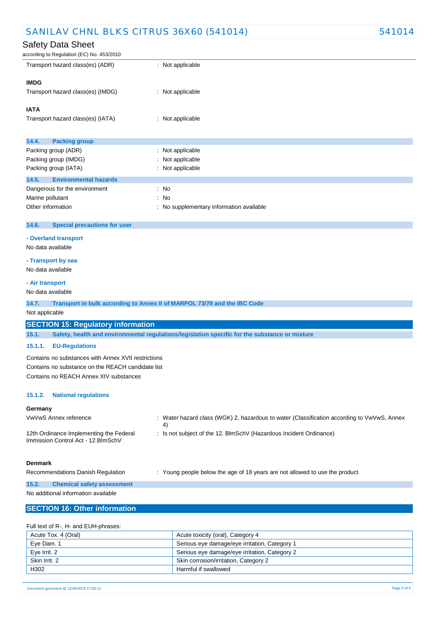according to Regulation (EC) No. 453/2010

| Transport hazard class(es) (ADR)      | : Not applicable |  |
|---------------------------------------|------------------|--|
| <b>IMDG</b>                           |                  |  |
| Transport hazard class(es) (IMDG)     | : Not applicable |  |
| <b>IATA</b>                           |                  |  |
| Transport hazard class(es) (IATA)     | : Not applicable |  |
| 14.4.<br><b>Packing group</b>         |                  |  |
| Packing group (ADR)                   | : Not applicable |  |
| Packing group (IMDG)                  | : Not applicable |  |
| Packing group (IATA)                  | : Not applicable |  |
| <b>Environmental hazards</b><br>14.5. |                  |  |
| Dangerous for the environment         | : No             |  |
| Marine pollutant                      | $\therefore$ No  |  |

| <b><i>INGURD PORTUGAL</i></b> | . |                                          |  |
|-------------------------------|---|------------------------------------------|--|
| Other information             |   | : No supplementary information available |  |

#### **14.6. Special precautions for user**

#### **- Overland transport**

No data available

#### **- Transport by sea**

No data available

#### **- Air transport**

No data available

**14.7. Transport in bulk according to Annex II of MARPOL 73/78 and the IBC Code**

Not applicable

### **SECTION 15: Regulatory information**

**15.1. Safety, health and environmental regulations/legislation specific for the substance or mixture**

#### **15.1.1. EU-Regulations**

Contains no substances with Annex XVII restrictions Contains no substance on the REACH candidate list Contains no REACH Annex XIV substances

#### **15.1.2. National regulations**

#### **Germany**

VwVwS Annex reference : Water hazard class (WGK) 2, hazardous to water (Classification according to VwVwS, Annex 4)

12th Ordinance Implementing the Federal Immission Control Act - 12.BImSchV

: Is not subject of the 12. BlmSchV (Hazardous Incident Ordinance)

#### **Denmark**

Recommendations Danish Regulation : Young people below the age of 18 years are not allowed to use the product

**15.2. Chemical safety assessment** No additional information available

### **SECTION 16: Other information**

#### Full text of R-, H- and EUH-phrases:

| Acute Tox. 4 (Oral) | Acute toxicity (oral), Category 4             |
|---------------------|-----------------------------------------------|
| Eye Dam. 1          | Serious eye damage/eye irritation, Category 1 |
| Eve Irrit, 2        | Serious eye damage/eye irritation, Category 2 |
| Skin Irrit, 2       | Skin corrosion/irritation, Category 2         |
| H302                | Harmful if swallowed                          |